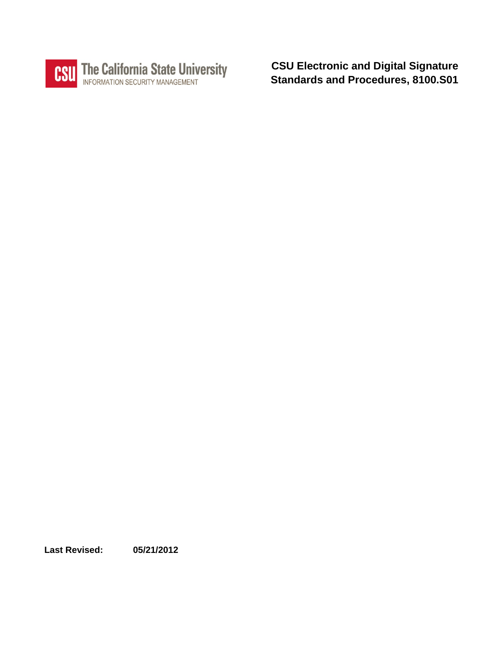

**CSU Electronic and Digital Signature Standards and Procedures, 8100.S01**

**Last Revised: 05/21/2012**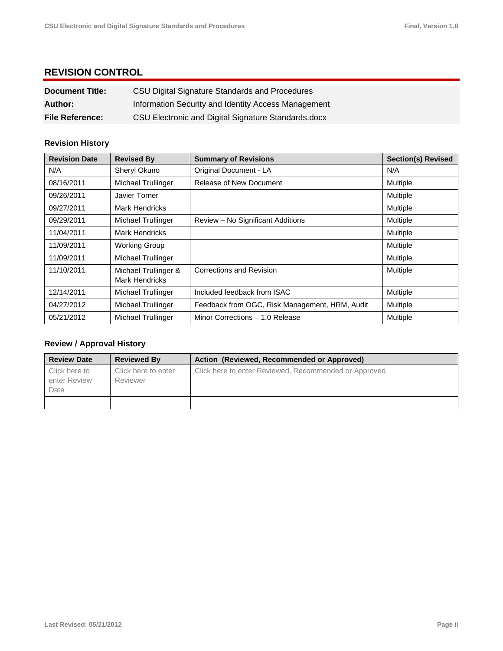# **REVISION CONTROL**

| <b>Document Title:</b> | CSU Digital Signature Standards and Procedures      |
|------------------------|-----------------------------------------------------|
| Author:                | Information Security and Identity Access Management |
| <b>File Reference:</b> | CSU Electronic and Digital Signature Standards.docx |

# **Revision History**

| <b>Revision Date</b> | <b>Revised By</b>                             | <b>Summary of Revisions</b>                    | <b>Section(s) Revised</b> |
|----------------------|-----------------------------------------------|------------------------------------------------|---------------------------|
| N/A                  | Sheryl Okuno                                  | Original Document - LA                         | N/A                       |
| 08/16/2011           | Michael Trullinger                            | <b>Release of New Document</b>                 | Multiple                  |
| 09/26/2011           | Javier Torner                                 |                                                | <b>Multiple</b>           |
| 09/27/2011           | <b>Mark Hendricks</b>                         |                                                | Multiple                  |
| 09/29/2011           | Michael Trullinger                            | Review - No Significant Additions              | Multiple                  |
| 11/04/2011           | <b>Mark Hendricks</b>                         |                                                | Multiple                  |
| 11/09/2011           | <b>Working Group</b>                          |                                                | Multiple                  |
| 11/09/2011           | Michael Trullinger                            |                                                | Multiple                  |
| 11/10/2011           | Michael Trullinger &<br><b>Mark Hendricks</b> | Corrections and Revision                       | Multiple                  |
| 12/14/2011           | Michael Trullinger                            | Included feedback from ISAC                    | Multiple                  |
| 04/27/2012           | Michael Trullinger                            | Feedback from OGC, Risk Management, HRM, Audit | Multiple                  |
| 05/21/2012           | Michael Trullinger                            | Minor Corrections - 1.0 Release                | Multiple                  |

### **Review / Approval History**

| <b>Review Date</b>                    | <b>Reviewed By</b>              | Action (Reviewed, Recommended or Approved)            |
|---------------------------------------|---------------------------------|-------------------------------------------------------|
| Click here to<br>enter Review<br>Date | Click here to enter<br>Reviewer | Click here to enter Reviewed, Recommended or Approved |
|                                       |                                 |                                                       |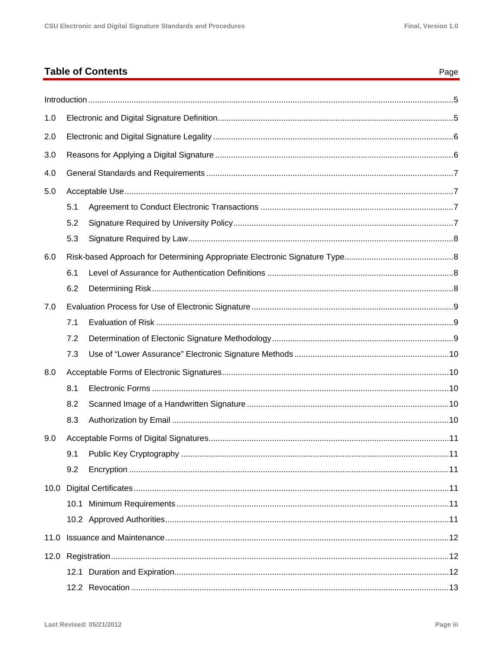Page

# **Table of Contents**

| 1.0  |      |  |
|------|------|--|
| 2.0  |      |  |
| 3.0  |      |  |
| 4.0  |      |  |
| 5.0  |      |  |
|      | 5.1  |  |
|      | 5.2  |  |
|      | 5.3  |  |
| 6.0  |      |  |
|      | 6.1  |  |
|      | 6.2  |  |
| 7.0  |      |  |
|      | 7.1  |  |
|      | 7.2  |  |
|      | 7.3  |  |
| 8.0  |      |  |
|      | 8.1  |  |
|      | 8.2  |  |
|      | 8.3  |  |
| 9.0  |      |  |
|      |      |  |
|      | 9.2  |  |
|      |      |  |
|      |      |  |
|      |      |  |
| 11.0 |      |  |
|      |      |  |
|      | 12.1 |  |
|      |      |  |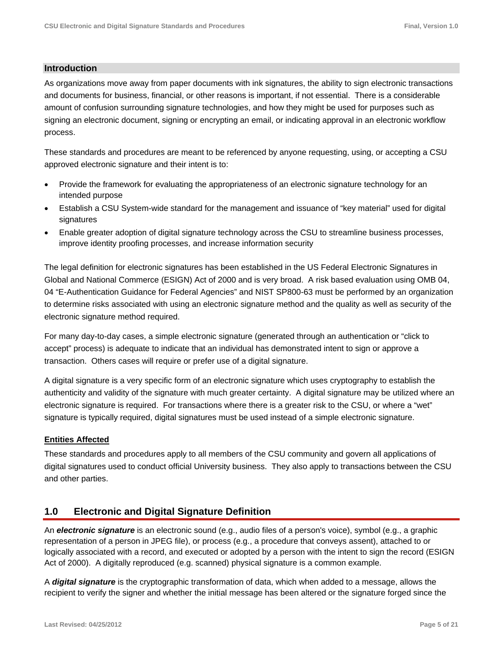#### **Introduction**

As organizations move away from paper documents with ink signatures, the ability to sign electronic transactions and documents for business, financial, or other reasons is important, if not essential. There is a considerable amount of confusion surrounding signature technologies, and how they might be used for purposes such as signing an electronic document, signing or encrypting an email, or indicating approval in an electronic workflow process.

These standards and procedures are meant to be referenced by anyone requesting, using, or accepting a CSU approved electronic signature and their intent is to:

- Provide the framework for evaluating the appropriateness of an electronic signature technology for an intended purpose
- Establish a CSU System-wide standard for the management and issuance of "key material" used for digital signatures
- Enable greater adoption of digital signature technology across the CSU to streamline business processes, improve identity proofing processes, and increase information security

The legal definition for electronic signatures has been established in the US Federal Electronic Signatures in Global and National Commerce (ESIGN) Act of 2000 and is very broad. A risk based evaluation using OMB 04, 04 "E-Authentication Guidance for Federal Agencies" and NIST SP800-63 must be performed by an organization to determine risks associated with using an electronic signature method and the quality as well as security of the electronic signature method required.

For many day-to-day cases, a simple electronic signature (generated through an authentication or "click to accept" process) is adequate to indicate that an individual has demonstrated intent to sign or approve a transaction. Others cases will require or prefer use of a digital signature.

A digital signature is a very specific form of an electronic signature which uses cryptography to establish the authenticity and validity of the signature with much greater certainty. A digital signature may be utilized where an electronic signature is required. For transactions where there is a greater risk to the CSU, or where a "wet" signature is typically required, digital signatures must be used instead of a simple electronic signature.

#### **Entities Affected**

These standards and procedures apply to all members of the CSU community and govern all applications of digital signatures used to conduct official University business. They also apply to transactions between the CSU and other parties.

### **1.0 Electronic and Digital Signature Definition**

An *electronic signature* is an electronic sound (e.g., audio files of a person's voice), symbol (e.g., a graphic representation of a person in JPEG file), or process (e.g., a procedure that conveys assent), attached to or logically associated with a record, and executed or adopted by a person with the intent to sign the record (ESIGN Act of 2000). A digitally reproduced (e.g. scanned) physical signature is a common example.

A *digital signature* is the cryptographic transformation of data, which when added to a message, allows the recipient to verify the signer and whether the initial message has been altered or the signature forged since the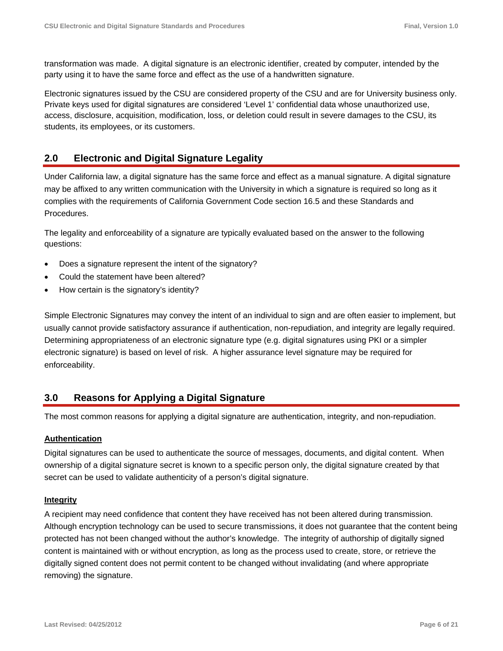transformation was made. A digital signature is an electronic identifier, created by computer, intended by the party using it to have the same force and effect as the use of a handwritten signature.

Electronic signatures issued by the CSU are considered property of the CSU and are for University business only. Private keys used for digital signatures are considered 'Level 1' confidential data whose unauthorized use, access, disclosure, acquisition, modification, loss, or deletion could result in severe damages to the CSU, its students, its employees, or its customers.

# **2.0 Electronic and Digital Signature Legality**

Under California law, a digital signature has the same force and effect as a manual signature. A digital signature may be affixed to any written communication with the University in which a signature is required so long as it complies with the requirements of California Government Code section 16.5 and these Standards and Procedures.

The legality and enforceability of a signature are typically evaluated based on the answer to the following questions:

- Does a signature represent the intent of the signatory?
- Could the statement have been altered?
- How certain is the signatory's identity?

Simple Electronic Signatures may convey the intent of an individual to sign and are often easier to implement, but usually cannot provide satisfactory assurance if authentication, non-repudiation, and integrity are legally required. Determining appropriateness of an electronic signature type (e.g. digital signatures using PKI or a simpler electronic signature) is based on level of risk. A higher assurance level signature may be required for enforceability.

### **3.0 Reasons for Applying a Digital Signature**

The most common reasons for applying a digital signature are authentication, integrity, and non-repudiation.

#### **Authentication**

Digital signatures can be used to authenticate the source of messages, documents, and digital content. When ownership of a digital signature secret is known to a specific person only, the digital signature created by that secret can be used to validate authenticity of a person's digital signature.

#### **Integrity**

A recipient may need confidence that content they have received has not been altered during transmission. Although encryption technology can be used to secure transmissions, it does not guarantee that the content being protected has not been changed without the author's knowledge. The integrity of authorship of digitally signed content is maintained with or without encryption, as long as the process used to create, store, or retrieve the digitally signed content does not permit content to be changed without invalidating (and where appropriate removing) the signature.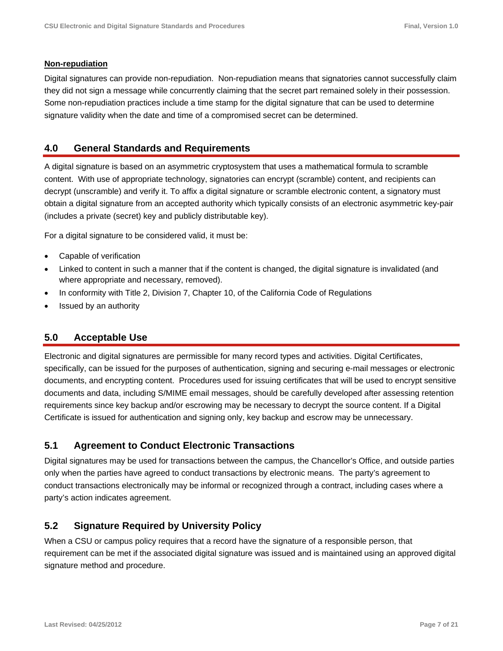#### **Non-repudiation**

Digital signatures can provide non-repudiation. Non-repudiation means that signatories cannot successfully claim they did not sign a message while concurrently claiming that the secret part remained solely in their possession. Some non-repudiation practices include a time stamp for the digital signature that can be used to determine signature validity when the date and time of a compromised secret can be determined.

# **4.0 General Standards and Requirements**

A digital signature is based on an asymmetric cryptosystem that uses a mathematical formula to scramble content. With use of appropriate technology, signatories can encrypt (scramble) content, and recipients can decrypt (unscramble) and verify it. To affix a digital signature or scramble electronic content, a signatory must obtain a digital signature from an accepted authority which typically consists of an electronic asymmetric key-pair (includes a private (secret) key and publicly distributable key).

For a digital signature to be considered valid, it must be:

- Capable of verification
- Linked to content in such a manner that if the content is changed, the digital signature is invalidated (and where appropriate and necessary, removed).
- In conformity with Title 2, Division 7, Chapter 10, of the California Code of Regulations
- Issued by an authority

### **5.0 Acceptable Use**

Electronic and digital signatures are permissible for many record types and activities. Digital Certificates, specifically, can be issued for the purposes of authentication, signing and securing e-mail messages or electronic documents, and encrypting content. Procedures used for issuing certificates that will be used to encrypt sensitive documents and data, including S/MIME email messages, should be carefully developed after assessing retention requirements since key backup and/or escrowing may be necessary to decrypt the source content. If a Digital Certificate is issued for authentication and signing only, key backup and escrow may be unnecessary.

### **5.1 Agreement to Conduct Electronic Transactions**

Digital signatures may be used for transactions between the campus, the Chancellor's Office, and outside parties only when the parties have agreed to conduct transactions by electronic means. The party's agreement to conduct transactions electronically may be informal or recognized through a contract, including cases where a party's action indicates agreement.

# **5.2 Signature Required by University Policy**

When a CSU or campus policy requires that a record have the signature of a responsible person, that requirement can be met if the associated digital signature was issued and is maintained using an approved digital signature method and procedure.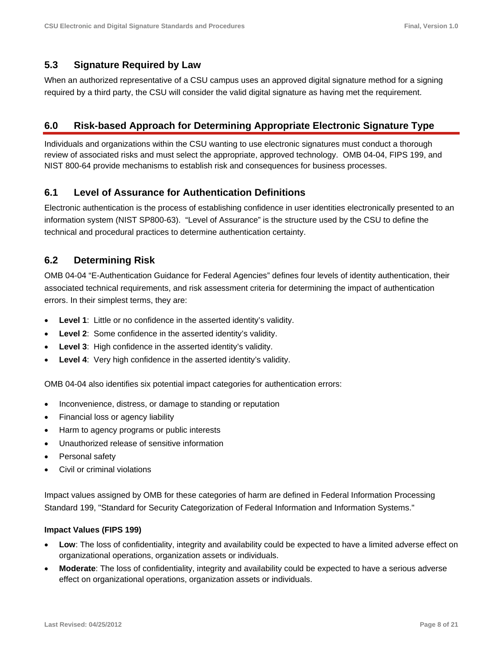### **5.3 Signature Required by Law**

When an authorized representative of a CSU campus uses an approved digital signature method for a signing required by a third party, the CSU will consider the valid digital signature as having met the requirement.

# **6.0 Risk-based Approach for Determining Appropriate Electronic Signature Type**

Individuals and organizations within the CSU wanting to use electronic signatures must conduct a thorough review of associated risks and must select the appropriate, approved technology. OMB 04-04, FIPS 199, and NIST 800-64 provide mechanisms to establish risk and consequences for business processes.

# **6.1 Level of Assurance for Authentication Definitions**

Electronic authentication is the process of establishing confidence in user identities electronically presented to an information system (NIST SP800-63). "Level of Assurance" is the structure used by the CSU to define the technical and procedural practices to determine authentication certainty.

# **6.2 Determining Risk**

OMB 04-04 "E-Authentication Guidance for Federal Agencies" defines four levels of identity authentication, their associated technical requirements, and risk assessment criteria for determining the impact of authentication errors. In their simplest terms, they are:

- **Level 1**: Little or no confidence in the asserted identity's validity.
- **Level 2**: Some confidence in the asserted identity's validity.
- **Level 3**: High confidence in the asserted identity's validity.
- **Level 4**: Very high confidence in the asserted identity's validity.

OMB 04-04 also identifies six potential impact categories for authentication errors:

- Inconvenience, distress, or damage to standing or reputation
- Financial loss or agency liability
- Harm to agency programs or public interests
- Unauthorized release of sensitive information
- Personal safety
- Civil or criminal violations

Impact values assigned by OMB for these categories of harm are defined in Federal Information Processing Standard 199, "Standard for Security Categorization of Federal Information and Information Systems."

#### **Impact Values (FIPS 199)**

- **Low**: The loss of confidentiality, integrity and availability could be expected to have a limited adverse effect on organizational operations, organization assets or individuals.
- **Moderate**: The loss of confidentiality, integrity and availability could be expected to have a serious adverse effect on organizational operations, organization assets or individuals.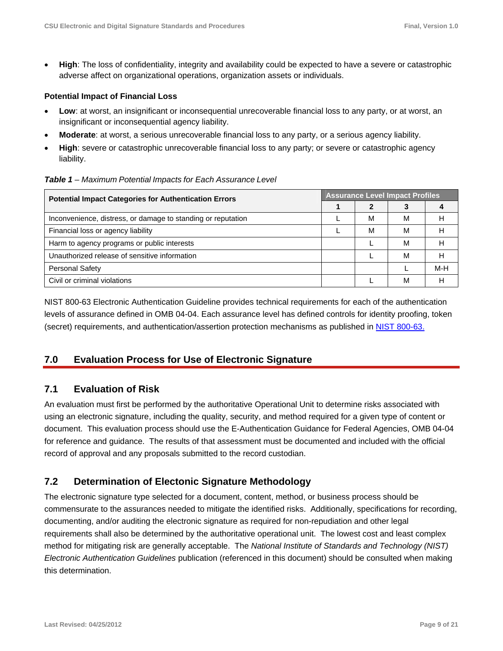**High**: The loss of confidentiality, integrity and availability could be expected to have a severe or catastrophic adverse affect on organizational operations, organization assets or individuals.

#### **Potential Impact of Financial Loss**

- **Low**: at worst, an insignificant or inconsequential unrecoverable financial loss to any party, or at worst, an insignificant or inconsequential agency liability.
- **Moderate**: at worst, a serious unrecoverable financial loss to any party, or a serious agency liability.
- **High**: severe or catastrophic unrecoverable financial loss to any party; or severe or catastrophic agency liability.

*Table 1 – Maximum Potential Impacts for Each Assurance Level* 

| <b>Potential Impact Categories for Authentication Errors</b> |  | <b>Assurance Level Impact Profiles</b> |   |     |  |
|--------------------------------------------------------------|--|----------------------------------------|---|-----|--|
|                                                              |  |                                        |   |     |  |
| Inconvenience, distress, or damage to standing or reputation |  | м                                      | M | Н   |  |
| Financial loss or agency liability                           |  | М                                      | M | Н   |  |
| Harm to agency programs or public interests                  |  |                                        | м |     |  |
| Unauthorized release of sensitive information                |  |                                        | M | Н   |  |
| <b>Personal Safety</b>                                       |  |                                        |   | M-H |  |
| Civil or criminal violations                                 |  |                                        | М | н   |  |

NIST 800-63 Electronic Authentication Guideline provides technical requirements for each of the authentication levels of assurance defined in OMB 04-04. Each assurance level has defined controls for identity proofing, token (secret) requirements, and authentication/assertion protection mechanisms as published in NIST 800-63.

# **7.0 Evaluation Process for Use of Electronic Signature**

### **7.1 Evaluation of Risk**

An evaluation must first be performed by the authoritative Operational Unit to determine risks associated with using an electronic signature, including the quality, security, and method required for a given type of content or document. This evaluation process should use the E-Authentication Guidance for Federal Agencies, OMB 04-04 for reference and guidance. The results of that assessment must be documented and included with the official record of approval and any proposals submitted to the record custodian.

### **7.2 Determination of Electonic Signature Methodology**

The electronic signature type selected for a document, content, method, or business process should be commensurate to the assurances needed to mitigate the identified risks. Additionally, specifications for recording, documenting, and/or auditing the electronic signature as required for non-repudiation and other legal requirements shall also be determined by the authoritative operational unit. The lowest cost and least complex method for mitigating risk are generally acceptable. The *National Institute of Standards and Technology (NIST) Electronic Authentication Guidelines* publication (referenced in this document) should be consulted when making this determination.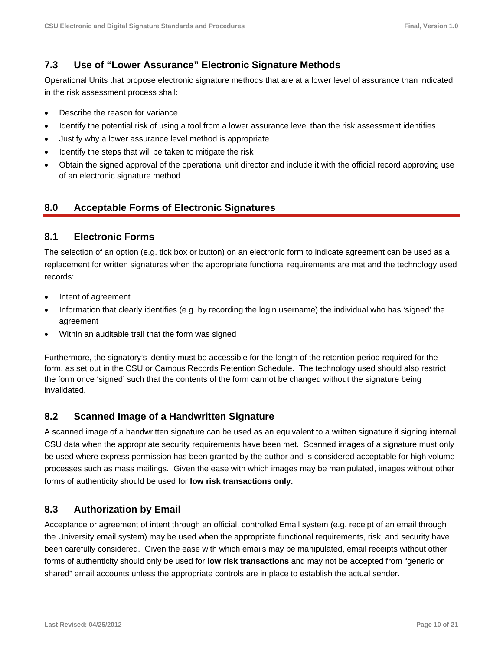# **7.3 Use of "Lower Assurance" Electronic Signature Methods**

Operational Units that propose electronic signature methods that are at a lower level of assurance than indicated in the risk assessment process shall:

- Describe the reason for variance
- Identify the potential risk of using a tool from a lower assurance level than the risk assessment identifies
- Justify why a lower assurance level method is appropriate
- Identify the steps that will be taken to mitigate the risk
- Obtain the signed approval of the operational unit director and include it with the official record approving use of an electronic signature method

# **8.0 Acceptable Forms of Electronic Signatures**

# **8.1 Electronic Forms**

The selection of an option (e.g. tick box or button) on an electronic form to indicate agreement can be used as a replacement for written signatures when the appropriate functional requirements are met and the technology used records:

- Intent of agreement
- Information that clearly identifies (e.g. by recording the login username) the individual who has 'signed' the agreement
- Within an auditable trail that the form was signed

Furthermore, the signatory's identity must be accessible for the length of the retention period required for the form, as set out in the CSU or Campus Records Retention Schedule. The technology used should also restrict the form once 'signed' such that the contents of the form cannot be changed without the signature being invalidated.

# **8.2 Scanned Image of a Handwritten Signature**

A scanned image of a handwritten signature can be used as an equivalent to a written signature if signing internal CSU data when the appropriate security requirements have been met. Scanned images of a signature must only be used where express permission has been granted by the author and is considered acceptable for high volume processes such as mass mailings. Given the ease with which images may be manipulated, images without other forms of authenticity should be used for **low risk transactions only.**

# **8.3 Authorization by Email**

Acceptance or agreement of intent through an official, controlled Email system (e.g. receipt of an email through the University email system) may be used when the appropriate functional requirements, risk, and security have been carefully considered. Given the ease with which emails may be manipulated, email receipts without other forms of authenticity should only be used for **low risk transactions** and may not be accepted from "generic or shared" email accounts unless the appropriate controls are in place to establish the actual sender.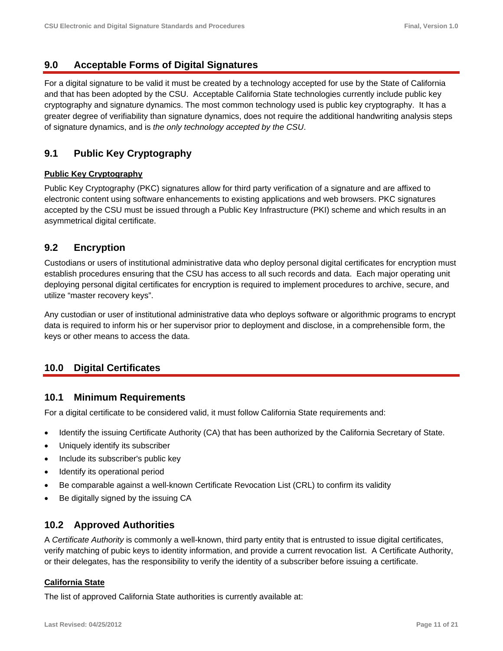### **9.0 Acceptable Forms of Digital Signatures**

For a digital signature to be valid it must be created by a technology accepted for use by the State of California and that has been adopted by the CSU. Acceptable California State technologies currently include public key cryptography and signature dynamics. The most common technology used is public key cryptography. It has a greater degree of verifiability than signature dynamics, does not require the additional handwriting analysis steps of signature dynamics, and is *the only technology accepted by the CSU*.

# **9.1 Public Key Cryptography**

#### **Public Key Cryptography**

Public Key Cryptography (PKC) signatures allow for third party verification of a signature and are affixed to electronic content using software enhancements to existing applications and web browsers. PKC signatures accepted by the CSU must be issued through a Public Key Infrastructure (PKI) scheme and which results in an asymmetrical digital certificate.

# **9.2 Encryption**

Custodians or users of institutional administrative data who deploy personal digital certificates for encryption must establish procedures ensuring that the CSU has access to all such records and data. Each major operating unit deploying personal digital certificates for encryption is required to implement procedures to archive, secure, and utilize "master recovery keys".

Any custodian or user of institutional administrative data who deploys software or algorithmic programs to encrypt data is required to inform his or her supervisor prior to deployment and disclose, in a comprehensible form, the keys or other means to access the data.

# **10.0 Digital Certificates**

### **10.1 Minimum Requirements**

For a digital certificate to be considered valid, it must follow California State requirements and:

- Identify the issuing Certificate Authority (CA) that has been authorized by the California Secretary of State.
- Uniquely identify its subscriber
- Include its subscriber's public key
- Identify its operational period
- Be comparable against a well-known Certificate Revocation List (CRL) to confirm its validity
- Be digitally signed by the issuing CA

### **10.2 Approved Authorities**

A *Certificate Authority* is commonly a well-known, third party entity that is entrusted to issue digital certificates, verify matching of pubic keys to identity information, and provide a current revocation list. A Certificate Authority, or their delegates, has the responsibility to verify the identity of a subscriber before issuing a certificate.

#### **California State**

The list of approved California State authorities is currently available at: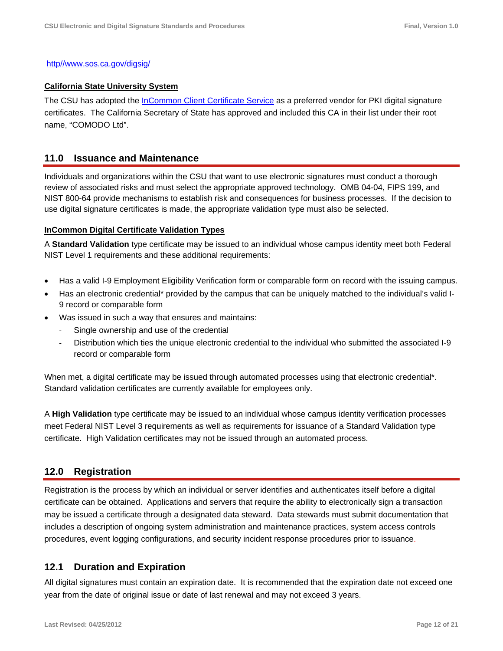#### http//www.sos.ca.gov/digsig/

#### **California State University System**

The CSU has adopted the InCommon Client Certificate Service as a preferred vendor for PKI digital signature certificates. The California Secretary of State has approved and included this CA in their list under their root name, "COMODO Ltd".

#### **11.0 Issuance and Maintenance**

Individuals and organizations within the CSU that want to use electronic signatures must conduct a thorough review of associated risks and must select the appropriate approved technology. OMB 04-04, FIPS 199, and NIST 800-64 provide mechanisms to establish risk and consequences for business processes. If the decision to use digital signature certificates is made, the appropriate validation type must also be selected.

#### **InCommon Digital Certificate Validation Types**

A **Standard Validation** type certificate may be issued to an individual whose campus identity meet both Federal NIST Level 1 requirements and these additional requirements:

- Has a valid I-9 Employment Eligibility Verification form or comparable form on record with the issuing campus.
- Has an electronic credential\* provided by the campus that can be uniquely matched to the individual's valid I-9 record or comparable form
- Was issued in such a way that ensures and maintains:
	- Single ownership and use of the credential
	- ‐ Distribution which ties the unique electronic credential to the individual who submitted the associated I-9 record or comparable form

When met, a digital certificate may be issued through automated processes using that electronic credential<sup>\*</sup>. Standard validation certificates are currently available for employees only.

A **High Validation** type certificate may be issued to an individual whose campus identity verification processes meet Federal NIST Level 3 requirements as well as requirements for issuance of a Standard Validation type certificate. High Validation certificates may not be issued through an automated process.

#### **12.0 Registration**

Registration is the process by which an individual or server identifies and authenticates itself before a digital certificate can be obtained. Applications and servers that require the ability to electronically sign a transaction may be issued a certificate through a designated data steward. Data stewards must submit documentation that includes a description of ongoing system administration and maintenance practices, system access controls procedures, event logging configurations, and security incident response procedures prior to issuance.

#### **12.1 Duration and Expiration**

All digital signatures must contain an expiration date. It is recommended that the expiration date not exceed one year from the date of original issue or date of last renewal and may not exceed 3 years.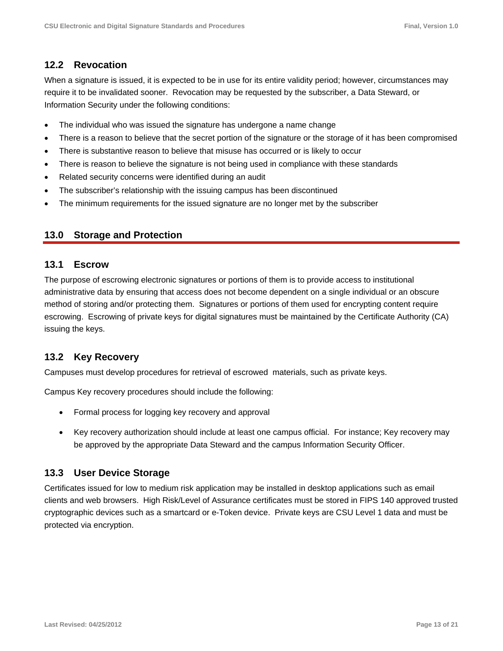# **12.2 Revocation**

When a signature is issued, it is expected to be in use for its entire validity period; however, circumstances may require it to be invalidated sooner. Revocation may be requested by the subscriber, a Data Steward, or Information Security under the following conditions:

- The individual who was issued the signature has undergone a name change
- There is a reason to believe that the secret portion of the signature or the storage of it has been compromised
- There is substantive reason to believe that misuse has occurred or is likely to occur
- There is reason to believe the signature is not being used in compliance with these standards
- Related security concerns were identified during an audit
- The subscriber's relationship with the issuing campus has been discontinued
- The minimum requirements for the issued signature are no longer met by the subscriber

### **13.0 Storage and Protection**

### **13.1 Escrow**

The purpose of escrowing electronic signatures or portions of them is to provide access to institutional administrative data by ensuring that access does not become dependent on a single individual or an obscure method of storing and/or protecting them. Signatures or portions of them used for encrypting content require escrowing. Escrowing of private keys for digital signatures must be maintained by the Certificate Authority (CA) issuing the keys.

### **13.2 Key Recovery**

Campuses must develop procedures for retrieval of escrowed materials, such as private keys.

Campus Key recovery procedures should include the following:

- Formal process for logging key recovery and approval
- Key recovery authorization should include at least one campus official. For instance; Key recovery may be approved by the appropriate Data Steward and the campus Information Security Officer.

### **13.3 User Device Storage**

Certificates issued for low to medium risk application may be installed in desktop applications such as email clients and web browsers. High Risk/Level of Assurance certificates must be stored in FIPS 140 approved trusted cryptographic devices such as a smartcard or e-Token device. Private keys are CSU Level 1 data and must be protected via encryption.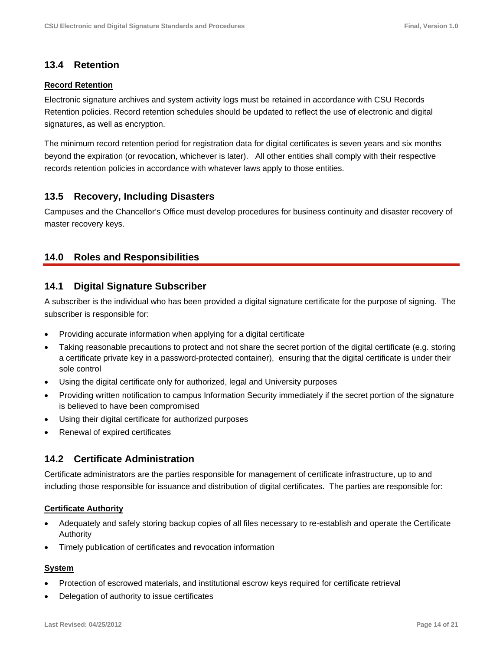### **13.4 Retention**

#### **Record Retention**

Electronic signature archives and system activity logs must be retained in accordance with CSU Records Retention policies. Record retention schedules should be updated to reflect the use of electronic and digital signatures, as well as encryption.

The minimum record retention period for registration data for digital certificates is seven years and six months beyond the expiration (or revocation, whichever is later). All other entities shall comply with their respective records retention policies in accordance with whatever laws apply to those entities.

# **13.5 Recovery, Including Disasters**

Campuses and the Chancellor's Office must develop procedures for business continuity and disaster recovery of master recovery keys.

# **14.0 Roles and Responsibilities**

### **14.1 Digital Signature Subscriber**

A subscriber is the individual who has been provided a digital signature certificate for the purpose of signing. The subscriber is responsible for:

- Providing accurate information when applying for a digital certificate
- Taking reasonable precautions to protect and not share the secret portion of the digital certificate (e.g. storing a certificate private key in a password-protected container), ensuring that the digital certificate is under their sole control
- Using the digital certificate only for authorized, legal and University purposes
- Providing written notification to campus Information Security immediately if the secret portion of the signature is believed to have been compromised
- Using their digital certificate for authorized purposes
- Renewal of expired certificates

### **14.2 Certificate Administration**

Certificate administrators are the parties responsible for management of certificate infrastructure, up to and including those responsible for issuance and distribution of digital certificates. The parties are responsible for:

#### **Certificate Authority**

- Adequately and safely storing backup copies of all files necessary to re-establish and operate the Certificate Authority
- Timely publication of certificates and revocation information

#### **System**

- Protection of escrowed materials, and institutional escrow keys required for certificate retrieval
- Delegation of authority to issue certificates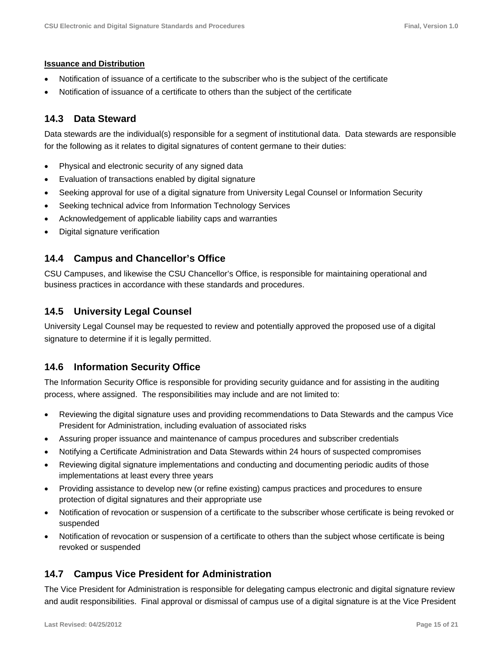#### **Issuance and Distribution**

- Notification of issuance of a certificate to the subscriber who is the subject of the certificate
- Notification of issuance of a certificate to others than the subject of the certificate

# **14.3 Data Steward**

Data stewards are the individual(s) responsible for a segment of institutional data. Data stewards are responsible for the following as it relates to digital signatures of content germane to their duties:

- Physical and electronic security of any signed data
- Evaluation of transactions enabled by digital signature
- Seeking approval for use of a digital signature from University Legal Counsel or Information Security
- Seeking technical advice from Information Technology Services
- Acknowledgement of applicable liability caps and warranties
- Digital signature verification

### **14.4 Campus and Chancellor's Office**

CSU Campuses, and likewise the CSU Chancellor's Office, is responsible for maintaining operational and business practices in accordance with these standards and procedures.

# **14.5 University Legal Counsel**

University Legal Counsel may be requested to review and potentially approved the proposed use of a digital signature to determine if it is legally permitted.

### **14.6 Information Security Office**

The Information Security Office is responsible for providing security guidance and for assisting in the auditing process, where assigned. The responsibilities may include and are not limited to:

- Reviewing the digital signature uses and providing recommendations to Data Stewards and the campus Vice President for Administration, including evaluation of associated risks
- Assuring proper issuance and maintenance of campus procedures and subscriber credentials
- Notifying a Certificate Administration and Data Stewards within 24 hours of suspected compromises
- Reviewing digital signature implementations and conducting and documenting periodic audits of those implementations at least every three years
- Providing assistance to develop new (or refine existing) campus practices and procedures to ensure protection of digital signatures and their appropriate use
- Notification of revocation or suspension of a certificate to the subscriber whose certificate is being revoked or suspended
- Notification of revocation or suspension of a certificate to others than the subject whose certificate is being revoked or suspended

# **14.7 Campus Vice President for Administration**

The Vice President for Administration is responsible for delegating campus electronic and digital signature review and audit responsibilities. Final approval or dismissal of campus use of a digital signature is at the Vice President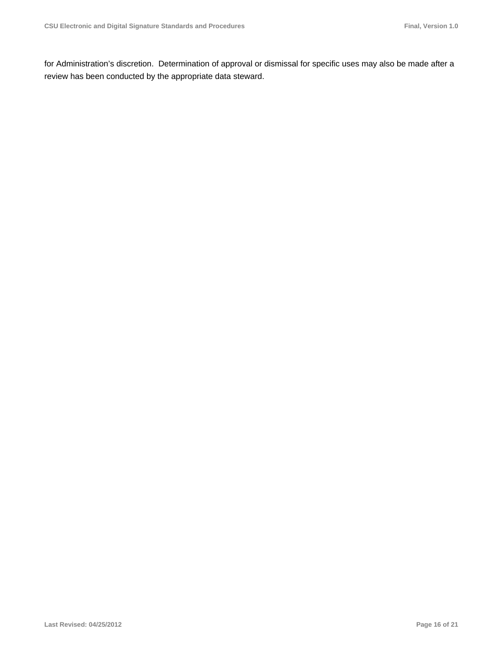for Administration's discretion. Determination of approval or dismissal for specific uses may also be made after a review has been conducted by the appropriate data steward.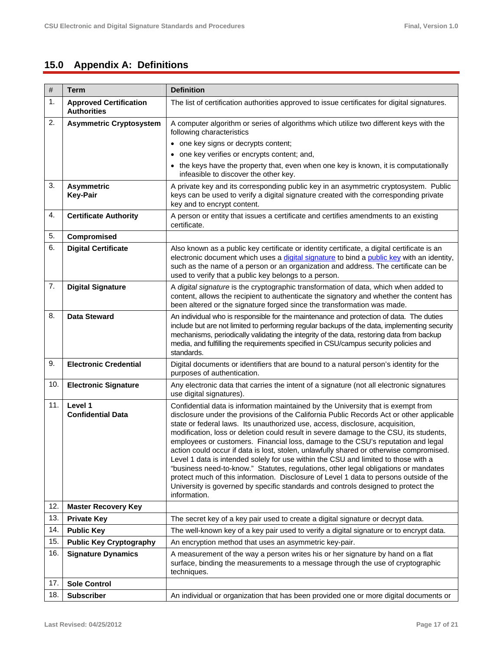# **15.0 Appendix A: Definitions**

| $\#$ | <b>Term</b>                                         | <b>Definition</b>                                                                                                                                                                                                                                                                                                                                                                                                                                                                                                                                                                                                                                                                                                                                                                                                                                                                                                   |
|------|-----------------------------------------------------|---------------------------------------------------------------------------------------------------------------------------------------------------------------------------------------------------------------------------------------------------------------------------------------------------------------------------------------------------------------------------------------------------------------------------------------------------------------------------------------------------------------------------------------------------------------------------------------------------------------------------------------------------------------------------------------------------------------------------------------------------------------------------------------------------------------------------------------------------------------------------------------------------------------------|
| 1.   | <b>Approved Certification</b><br><b>Authorities</b> | The list of certification authorities approved to issue certificates for digital signatures.                                                                                                                                                                                                                                                                                                                                                                                                                                                                                                                                                                                                                                                                                                                                                                                                                        |
| 2.   | <b>Asymmetric Cryptosystem</b>                      | A computer algorithm or series of algorithms which utilize two different keys with the<br>following characteristics                                                                                                                                                                                                                                                                                                                                                                                                                                                                                                                                                                                                                                                                                                                                                                                                 |
|      |                                                     | • one key signs or decrypts content;                                                                                                                                                                                                                                                                                                                                                                                                                                                                                                                                                                                                                                                                                                                                                                                                                                                                                |
|      |                                                     | • one key verifies or encrypts content; and,                                                                                                                                                                                                                                                                                                                                                                                                                                                                                                                                                                                                                                                                                                                                                                                                                                                                        |
|      |                                                     | • the keys have the property that, even when one key is known, it is computationally<br>infeasible to discover the other key.                                                                                                                                                                                                                                                                                                                                                                                                                                                                                                                                                                                                                                                                                                                                                                                       |
| 3.   | <b>Asymmetric</b><br><b>Key-Pair</b>                | A private key and its corresponding public key in an asymmetric cryptosystem. Public<br>keys can be used to verify a digital signature created with the corresponding private<br>key and to encrypt content.                                                                                                                                                                                                                                                                                                                                                                                                                                                                                                                                                                                                                                                                                                        |
| 4.   | <b>Certificate Authority</b>                        | A person or entity that issues a certificate and certifies amendments to an existing<br>certificate.                                                                                                                                                                                                                                                                                                                                                                                                                                                                                                                                                                                                                                                                                                                                                                                                                |
| 5.   | Compromised                                         |                                                                                                                                                                                                                                                                                                                                                                                                                                                                                                                                                                                                                                                                                                                                                                                                                                                                                                                     |
| 6.   | <b>Digital Certificate</b>                          | Also known as a public key certificate or identity certificate, a digital certificate is an<br>electronic document which uses a digital signature to bind a public key with an identity,<br>such as the name of a person or an organization and address. The certificate can be<br>used to verify that a public key belongs to a person.                                                                                                                                                                                                                                                                                                                                                                                                                                                                                                                                                                            |
| 7.   | <b>Digital Signature</b>                            | A digital signature is the cryptographic transformation of data, which when added to<br>content, allows the recipient to authenticate the signatory and whether the content has<br>been altered or the signature forged since the transformation was made.                                                                                                                                                                                                                                                                                                                                                                                                                                                                                                                                                                                                                                                          |
| 8.   | <b>Data Steward</b>                                 | An individual who is responsible for the maintenance and protection of data. The duties<br>include but are not limited to performing regular backups of the data, implementing security<br>mechanisms, periodically validating the integrity of the data, restoring data from backup<br>media, and fulfilling the requirements specified in CSU/campus security policies and<br>standards.                                                                                                                                                                                                                                                                                                                                                                                                                                                                                                                          |
| 9.   | <b>Electronic Credential</b>                        | Digital documents or identifiers that are bound to a natural person's identity for the<br>purposes of authentication.                                                                                                                                                                                                                                                                                                                                                                                                                                                                                                                                                                                                                                                                                                                                                                                               |
| 10.  | <b>Electronic Signature</b>                         | Any electronic data that carries the intent of a signature (not all electronic signatures<br>use digital signatures).                                                                                                                                                                                                                                                                                                                                                                                                                                                                                                                                                                                                                                                                                                                                                                                               |
| 11.  | Level 1<br><b>Confidential Data</b>                 | Confidential data is information maintained by the University that is exempt from<br>disclosure under the provisions of the California Public Records Act or other applicable<br>state or federal laws. Its unauthorized use, access, disclosure, acquisition,<br>modification, loss or deletion could result in severe damage to the CSU, its students,<br>employees or customers. Financial loss, damage to the CSU's reputation and legal<br>action could occur if data is lost, stolen, unlawfully shared or otherwise compromised.<br>Level 1 data is intended solely for use within the CSU and limited to those with a<br>"business need-to-know." Statutes, regulations, other legal obligations or mandates<br>protect much of this information. Disclosure of Level 1 data to persons outside of the<br>University is governed by specific standards and controls designed to protect the<br>information. |
| 12.  | <b>Master Recovery Key</b>                          |                                                                                                                                                                                                                                                                                                                                                                                                                                                                                                                                                                                                                                                                                                                                                                                                                                                                                                                     |
| 13.  | <b>Private Key</b>                                  | The secret key of a key pair used to create a digital signature or decrypt data.                                                                                                                                                                                                                                                                                                                                                                                                                                                                                                                                                                                                                                                                                                                                                                                                                                    |
| 14.  | <b>Public Key</b>                                   | The well-known key of a key pair used to verify a digital signature or to encrypt data.                                                                                                                                                                                                                                                                                                                                                                                                                                                                                                                                                                                                                                                                                                                                                                                                                             |
| 15.  | <b>Public Key Cryptography</b>                      | An encryption method that uses an asymmetric key-pair.                                                                                                                                                                                                                                                                                                                                                                                                                                                                                                                                                                                                                                                                                                                                                                                                                                                              |
| 16.  | <b>Signature Dynamics</b>                           | A measurement of the way a person writes his or her signature by hand on a flat<br>surface, binding the measurements to a message through the use of cryptographic<br>techniques.                                                                                                                                                                                                                                                                                                                                                                                                                                                                                                                                                                                                                                                                                                                                   |
| 17.  | <b>Sole Control</b>                                 |                                                                                                                                                                                                                                                                                                                                                                                                                                                                                                                                                                                                                                                                                                                                                                                                                                                                                                                     |
| 18.  | <b>Subscriber</b>                                   | An individual or organization that has been provided one or more digital documents or                                                                                                                                                                                                                                                                                                                                                                                                                                                                                                                                                                                                                                                                                                                                                                                                                               |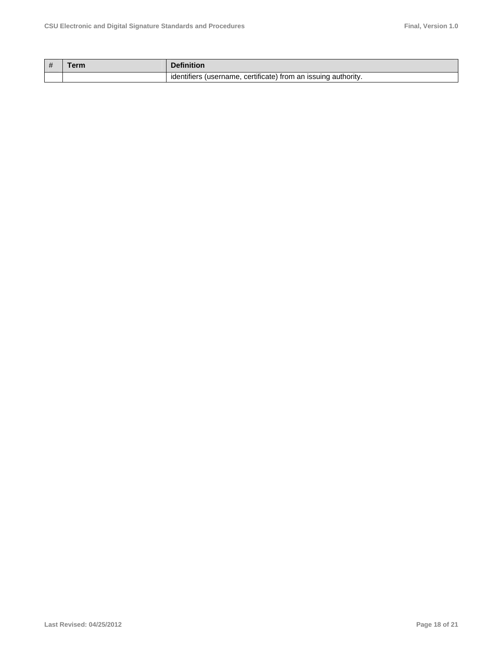| # | <b>Definition</b>                                              |
|---|----------------------------------------------------------------|
|   | identifiers (username, certificate) from an issuing authority. |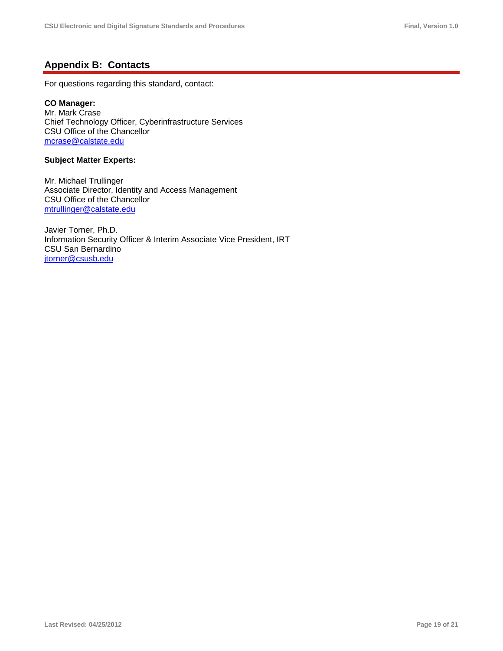# **Appendix B: Contacts**

For questions regarding this standard, contact:

#### **CO Manager:**

Mr. Mark Crase Chief Technology Officer, Cyberinfrastructure Services CSU Office of the Chancellor mcrase@calstate.edu

#### **Subject Matter Experts:**

Mr. Michael Trullinger Associate Director, Identity and Access Management CSU Office of the Chancellor mtrullinger@calstate.edu

Javier Torner, Ph.D. Information Security Officer & Interim Associate Vice President, IRT CSU San Bernardino jtorner@csusb.edu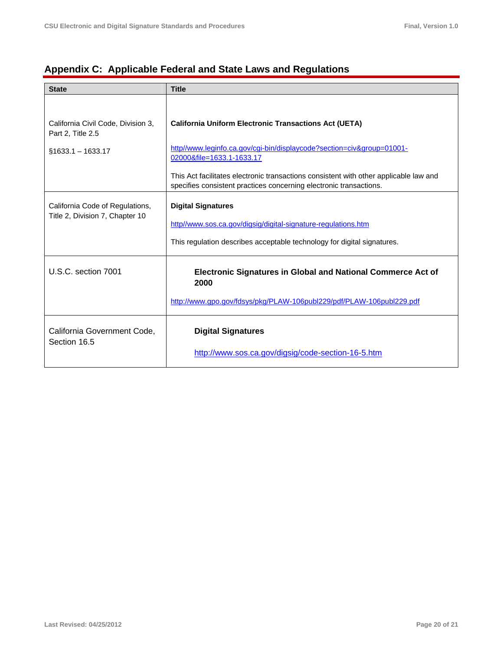|  | Appendix C: Applicable Federal and State Laws and Regulations |
|--|---------------------------------------------------------------|
|  |                                                               |

| <b>State</b>                                                       | <b>Title</b>                                                                                                                                                |  |
|--------------------------------------------------------------------|-------------------------------------------------------------------------------------------------------------------------------------------------------------|--|
| California Civil Code, Division 3,                                 | <b>California Uniform Electronic Transactions Act (UETA)</b>                                                                                                |  |
| Part 2, Title 2.5                                                  |                                                                                                                                                             |  |
| $§1633.1 - 1633.17$                                                | http//www.leginfo.ca.gov/cgi-bin/displaycode?section=civ&group=01001-<br>02000&file=1633.1-1633.17                                                          |  |
|                                                                    | This Act facilitates electronic transactions consistent with other applicable law and<br>specifies consistent practices concerning electronic transactions. |  |
| California Code of Regulations,<br>Title 2, Division 7, Chapter 10 | <b>Digital Signatures</b>                                                                                                                                   |  |
|                                                                    | http//www.sos.ca.gov/digsig/digital-signature-regulations.htm                                                                                               |  |
|                                                                    | This regulation describes acceptable technology for digital signatures.                                                                                     |  |
| U.S.C. section 7001                                                | <b>Electronic Signatures in Global and National Commerce Act of</b><br>2000                                                                                 |  |
|                                                                    | http://www.gpo.gov/fdsys/pkg/PLAW-106publ229/pdf/PLAW-106publ229.pdf                                                                                        |  |
| California Government Code,<br>Section 16.5                        | <b>Digital Signatures</b>                                                                                                                                   |  |
|                                                                    | http://www.sos.ca.gov/digsig/code-section-16-5.htm                                                                                                          |  |